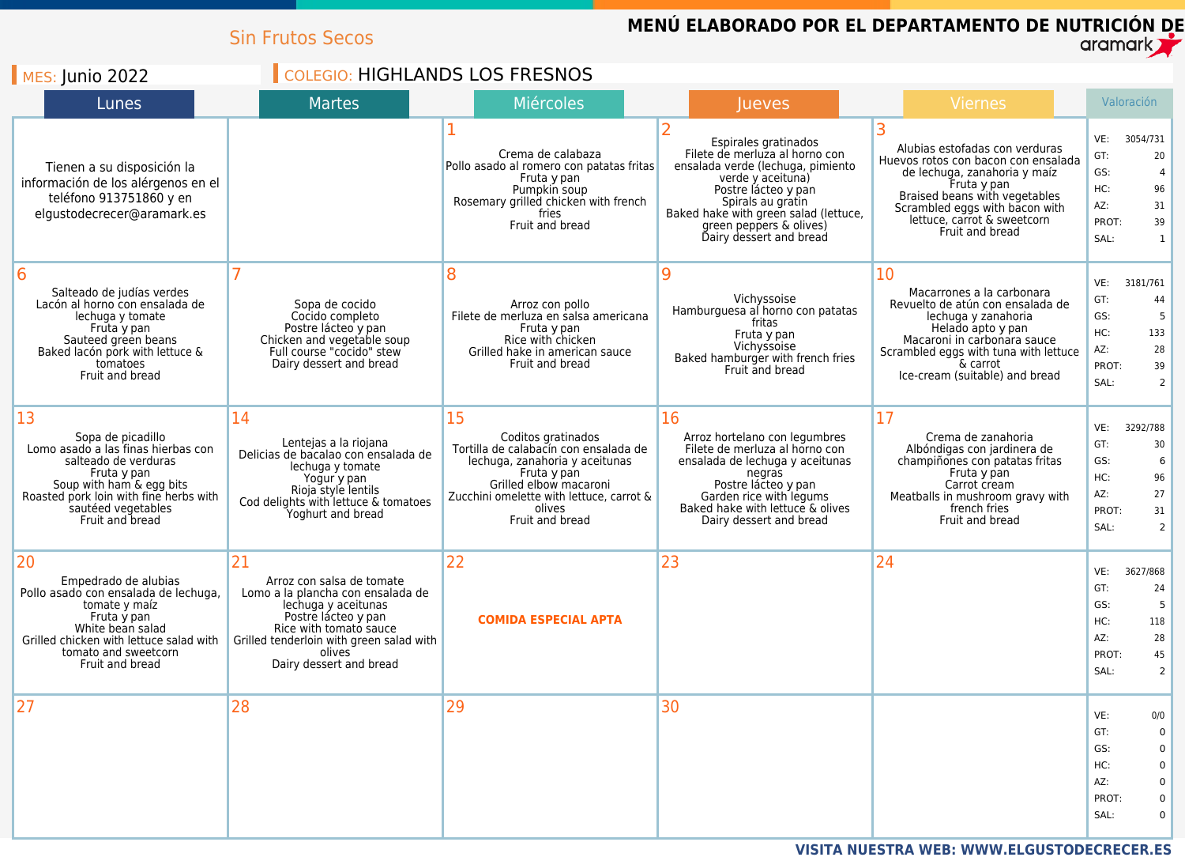|                                                                                                                                                                                                                     | <b>Sin Frutos Secos</b>                                                                                                                                                                                                       |                                                                                                                                                                                                                       |                                                                                                                                                                                                                                                             | MENÚ ELABORADO POR EL DEPARTAMENTO DE NUTRICIÓN DE                                                                                                                                                                                        | $\alpha$ ramark $\gamma$                                                                         |
|---------------------------------------------------------------------------------------------------------------------------------------------------------------------------------------------------------------------|-------------------------------------------------------------------------------------------------------------------------------------------------------------------------------------------------------------------------------|-----------------------------------------------------------------------------------------------------------------------------------------------------------------------------------------------------------------------|-------------------------------------------------------------------------------------------------------------------------------------------------------------------------------------------------------------------------------------------------------------|-------------------------------------------------------------------------------------------------------------------------------------------------------------------------------------------------------------------------------------------|--------------------------------------------------------------------------------------------------|
| <b>MES: Junio 2022</b>                                                                                                                                                                                              | <b>COLEGIO: HIGHLANDS LOS FRESNOS</b>                                                                                                                                                                                         |                                                                                                                                                                                                                       |                                                                                                                                                                                                                                                             |                                                                                                                                                                                                                                           |                                                                                                  |
| Lunes                                                                                                                                                                                                               | Martes                                                                                                                                                                                                                        | <b>Miércoles</b>                                                                                                                                                                                                      | <b>lueves</b>                                                                                                                                                                                                                                               | Viernes                                                                                                                                                                                                                                   | Valoración                                                                                       |
| Tienen a su disposición la<br>información de los alérgenos en el<br>teléfono 913751860 y en<br>elgustodecrecer@aramark.es                                                                                           |                                                                                                                                                                                                                               | Crema de calabaza<br>Pollo asado al romero con patatas fritas<br>Fruta y pan<br>Pumpkin soup<br>Rosemary grilled chicken with french<br>fries<br>Fruit and bread                                                      | Espirales gratinados<br>Filete de merluza al horno con<br>ensalada verde (lechuga, pimiento<br>verde y aceituna)<br>Postre lácteo y pan<br>Spirals au gratin<br>Baked hake with green salad (lettuce,<br>green peppers & olives)<br>Dairy dessert and bread | Alubias estofadas con verduras<br>Huevos rotos con bacon con ensalada<br>de lechuga, zanahoria y maíz<br>Fruta y pan<br>Braised beans with vegetables<br>Scrambled eggs with bacon with<br>lettuce, carrot & sweetcorn<br>Fruit and bread | VE:<br>3054/731<br>GT:<br>20<br>GS:<br>HC:<br>96<br>AZ:<br>31<br>PROT:<br>39<br>SAL:             |
| 6<br>Salteado de judías verdes<br>Lacón al horno con ensalada de<br>lechuga y tomate<br>Fruta y pan<br>Sauteed green beans<br>Baked lacón pork with lettuce &<br>tomatoes<br>Fruit and bread                        | Sopa de cocido<br>Cocido completo<br>Postre lácteo y pan<br>Chicken and vegetable soup<br>Full course "cocido" stew<br>Dairy dessert and bread                                                                                | 8<br>Arroz con pollo<br>Filete de merluza en salsa americana<br>Fruta y pan<br>Rice with chicken<br>Grilled hake in american sauce<br>Fruit and bread                                                                 | 9<br>Vichyssoise<br>Hamburguesa al horno con patatas<br>fritas<br>Fruta y pan<br>Vichyssoise<br>Baked hamburger with french fries<br>Fruit and bread                                                                                                        | 10<br>Macarrones a la carbonara<br>Revuelto de atún con ensalada de<br>lechuga y zanahoria<br>Helado apto y pan<br>Macaroni in carbonara sauce<br>Scrambled eggs with tuna with lettuce<br>& carrot<br>Ice-cream (suitable) and bread     | VE:<br>3181/761<br>GT:<br>44<br>GS:<br>HC:<br>133<br>AZ:<br>28<br>PROT:<br>39<br>SAL:<br>2       |
| 13<br>Sopa de picadillo<br>Lomo asado a las finas hierbas con<br>salteado de verduras<br>Fruta y pan<br>Soup with ham & egg bits<br>Roasted pork loin with fine herbs with<br>sautéed vegetables<br>Fruit and bread | 14<br>Lentejas a la riojana<br>Delicias de bacalao con ensalada de<br>lechuga y tomate<br>Yogur y pan<br>Rioja style lentils<br>Cod delights with lettuce & tomatoes<br>Yoghurt and bread                                     | 15<br>Coditos gratinados<br>Tortilla de calabacín con ensalada de<br>lechuga, zanahoria y aceitunas<br>Fruta y pan<br>Grilled elbow macaroni<br>Zucchini omelette with lettuce, carrot &<br>olives<br>Fruit and bread | 16<br>Arroz hortelano con legumbres<br>Filete de merluza al horno con<br>ensalada de lechuga y aceitunas<br>negras<br>Postre lácteo y pan<br>Garden rice with legums<br>Baked hake with lettuce & olives<br>Dairy dessert and bread                         | 17<br>Crema de zanahoria<br>Albóndigas con jardinera de<br>champiñones con patatas fritas<br>Fruta y pan<br>Carrot cream<br>Meatballs in mushroom gravy with<br>french fries<br>Fruit and bread                                           | VE:<br>3292/788<br>GT:<br>30<br>GS:<br>6<br>HC:<br>96<br>AZ:<br>27<br>31<br>PROT:<br>SAL:<br>2   |
| 20<br>Empedrado de alubias<br>Pollo asado con ensalada de lechuga,<br>tomate y maíz<br>Fruta y pan<br>White bean salad<br>Grilled chicken with lettuce salad with<br>tomato and sweetcorn<br>Fruit and bread        | 21<br>Arroz con salsa de tomate<br>Lomo a la plancha con ensalada de<br>lechuga y aceitunas<br>Postre lácteo y pan<br>Rice with tomato sauce<br>Grilled tenderloin with green salad with<br>olives<br>Dairy dessert and bread | 22<br><b>COMIDA ESPECIAL APTA</b>                                                                                                                                                                                     | 23                                                                                                                                                                                                                                                          | 24                                                                                                                                                                                                                                        | VE:<br>3627/868<br>GT:<br>24<br>GS:<br>HC:<br>118<br>AZ:<br>28<br>PROT:<br>45<br>SAL:<br>2       |
| 27                                                                                                                                                                                                                  | 28                                                                                                                                                                                                                            | 29                                                                                                                                                                                                                    | 30                                                                                                                                                                                                                                                          |                                                                                                                                                                                                                                           | VE:<br>0/0<br>GT:<br>0<br>GS:<br>$\Omega$<br>HC:<br>$\Omega$<br>AZ:<br>0<br>PROT:<br>$\mathbf 0$ |

SAL:

0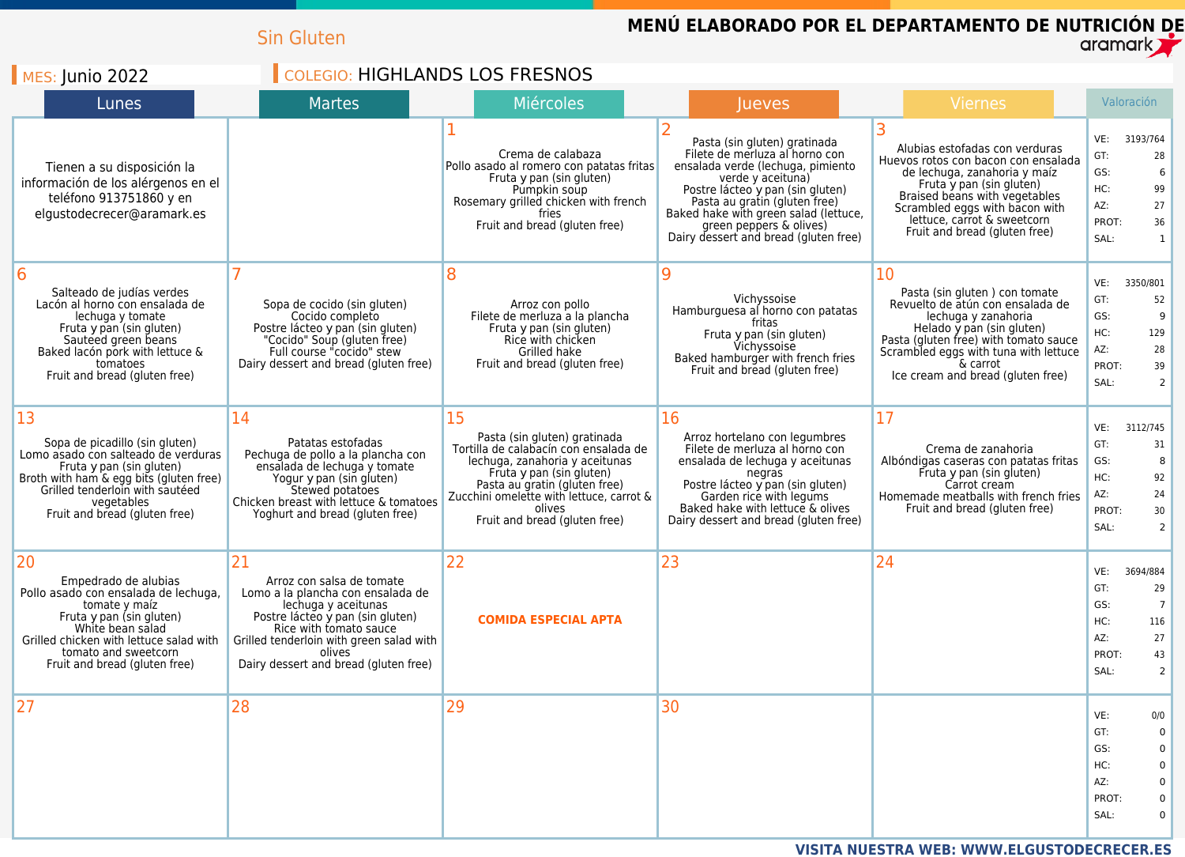|                                                                                                                                                                                                                                         | <b>Sin Gluten</b>                                                                                                                                                                                                                                        |                                                                                                                                                                                                                                                                   |                                                                                                                                                                                                                                                                                                            | <b>MENU ELABORADO POR EL DEPARTAMENTO DE NUTRICION DE</b>                                                                                                                                                                                                            | $\alpha$ ramark $\gamma$                                                                                             |
|-----------------------------------------------------------------------------------------------------------------------------------------------------------------------------------------------------------------------------------------|----------------------------------------------------------------------------------------------------------------------------------------------------------------------------------------------------------------------------------------------------------|-------------------------------------------------------------------------------------------------------------------------------------------------------------------------------------------------------------------------------------------------------------------|------------------------------------------------------------------------------------------------------------------------------------------------------------------------------------------------------------------------------------------------------------------------------------------------------------|----------------------------------------------------------------------------------------------------------------------------------------------------------------------------------------------------------------------------------------------------------------------|----------------------------------------------------------------------------------------------------------------------|
| $MES:$ Junio 2022                                                                                                                                                                                                                       | <b>COLEGIO: HIGHLANDS LOS FRESNOS</b>                                                                                                                                                                                                                    |                                                                                                                                                                                                                                                                   |                                                                                                                                                                                                                                                                                                            |                                                                                                                                                                                                                                                                      |                                                                                                                      |
| Lunes                                                                                                                                                                                                                                   | <b>Martes</b>                                                                                                                                                                                                                                            | Miércoles                                                                                                                                                                                                                                                         | <b>Jueves</b>                                                                                                                                                                                                                                                                                              | <b>Viernes</b>                                                                                                                                                                                                                                                       | Valoración                                                                                                           |
| Tienen a su disposición la<br>información de los alérgenos en el<br>teléfono 913751860 y en<br>elgustodecrecer@aramark.es                                                                                                               |                                                                                                                                                                                                                                                          | Crema de calabaza<br>Pollo asado al romero con patatas fritas<br>Fruta y pan (sin gluten)<br>Pumpkin soup<br>Rosemary grilled chicken with french<br>fries<br>Fruit and bread (gluten free)                                                                       | Pasta (sin gluten) gratinada<br>Filete de merluza al horno con<br>ensalada verde (lechuga, pimiento<br>verde y aceituna)<br>Postre lácteo y pan (sin gluten)<br>Pasta au gratin (gluten free)<br>Baked hake with green salad (lettuce,<br>green peppers & olives)<br>Dairy dessert and bread (gluten free) | Alubias estofadas con verduras<br>Huevos rotos con bacon con ensalada<br>de lechuga, zanahoria y maíz<br>Fruta y pan (sin gluten)<br>Braised beans with vegetables<br>Scrambled eggs with bacon with<br>lettuce, carrot & sweetcorn<br>Fruit and bread (gluten free) | 3193/764<br>VE:<br>GT:<br>28<br>GS:<br>HC:<br>99<br>27<br>AZ:<br>PROT:<br>36<br>SAL:<br>$\mathbf{1}$                 |
| 6<br>Salteado de judías verdes<br>Lacón al horno con ensalada de<br>lechuga y tomate<br>Fruta y pan (sin gluten)<br>Sauteed green beans<br>Baked lacón pork with lettuce &<br>tomatoes<br>Fruit and bread (gluten free)                 | Sopa de cocido (sin gluten)<br>Cocido completo<br>Postre lácteo y pan (sin gluten)<br>"Cocido" Soup (gluten free)<br>Full course "cocido" stew<br>Dairy dessert and bread (gluten free)                                                                  | 8<br>Arroz con pollo<br>Filete de merluza a la plancha<br>Fruta y pan (sin gluten)<br>Rice with chicken<br>Grilled hake<br>Fruit and bread (gluten free)                                                                                                          | 9<br>Vichyssoise<br>Hamburguesa al horno con patatas<br>tritas<br>Fruta y pan (sin gluten)<br>Vichyssoise<br>Baked hamburger with french fries<br>Fruit and bread (gluten free)                                                                                                                            | 10<br>Pasta (sin gluten) con tomate<br>Revuelto de atún con ensalada de<br>lechuga y zanahoria<br>Helado y pan (sin gluten)<br>Pasta (gluten free) with tomato sauce<br>Scrambled eggs with tuna with lettuce<br>& carrot<br>Ice cream and bread (gluten free)       | VE:<br>3350/801<br>GT:<br>52<br>GS:<br>9<br>HC:<br>129<br>AZ:<br>28<br>PROT:<br>39<br>SAL:<br>2                      |
| 13<br>Sopa de picadillo (sin gluten)<br>Lomo asado con salteado de verduras<br>Fruta y pan (sin gluten)<br>Broth with ham & egg bits (gluten free)<br>Grilled tenderloin with sauteed<br>vegetables<br>Fruit and bread (gluten free)    | 14<br>Patatas estofadas<br>Pechuga de pollo a la plancha con<br>ensalada de lechuga y tomate<br>Yogur y pan (sin gluten)<br>Stewed potatoes<br>Chicken breast with lettuce & tomatoes<br>Yoghurt and bread (gluten free)                                 | 15<br>Pasta (sin gluten) gratinada<br>Tortilla de calabacín con ensalada de<br>lechuga, zanahoria y aceitunas<br>Fruta y pan (sin gluten)<br>Pasta au gratin (gluten free)<br>Zucchini omelette with lettuce, carrot &<br>olives<br>Fruit and bread (gluten free) | 16<br>Arroz hortelano con legumbres<br>Filete de merluza al horno con<br>ensalada de lechuga y aceitunas<br>negras<br>Postre lácteo y pan (sin gluten)<br>Garden rice with legums<br>Baked hake with lettuce & olives<br>Dairy dessert and bread (gluten free)                                             | 17<br>Crema de zanahoria<br>Albóndigas caseras con patatas fritas<br>Fruta y pan (sin gluten)<br>Carrot cream<br>Homemade meatballs with french fries<br>Fruit and bread (gluten free)                                                                               | VE:<br>3112/745<br>GT:<br>31<br>GS:<br>8<br>HC:<br>92<br>AZ:<br>24<br>30<br>PROT:<br>SAL:<br>2                       |
| 20<br>Empedrado de alubias<br>Pollo asado con ensalada de lechuga,<br>tomate y maíz<br>Fruta y pan (sin gluten)<br>White bean salad<br>Grilled chicken with lettuce salad with<br>tomato and sweetcorn<br>Fruit and bread (gluten free) | 21<br>Arroz con salsa de tomate<br>Lomo a la plancha con ensalada de<br>lechuga y aceitunas<br>Postre lácteo y pan (sin gluten)<br>Rice with tomato sauce<br>Grilled tenderloin with green salad with<br>olives<br>Dairy dessert and bread (gluten free) | 22<br><b>COMIDA ESPECIAL APTA</b>                                                                                                                                                                                                                                 | 23                                                                                                                                                                                                                                                                                                         | 24                                                                                                                                                                                                                                                                   | 3694/884<br>VE:<br>GT:<br>29<br>GS:<br>HC:<br>116<br>AZ:<br>27<br>PROT:<br>43<br>SAL:<br>2                           |
| 27                                                                                                                                                                                                                                      | 28                                                                                                                                                                                                                                                       | 29                                                                                                                                                                                                                                                                | 30                                                                                                                                                                                                                                                                                                         |                                                                                                                                                                                                                                                                      | VE:<br>0/0<br>GT:<br>$\Omega$<br>GS:<br>$\Omega$<br>HC:<br>$\Omega$<br>AZ:<br>0<br>PROT:<br>$\mathbf 0$<br>SAL:<br>0 |

**VISITA NUESTRA WEB: WWW.ELGUSTODECRECER.ES**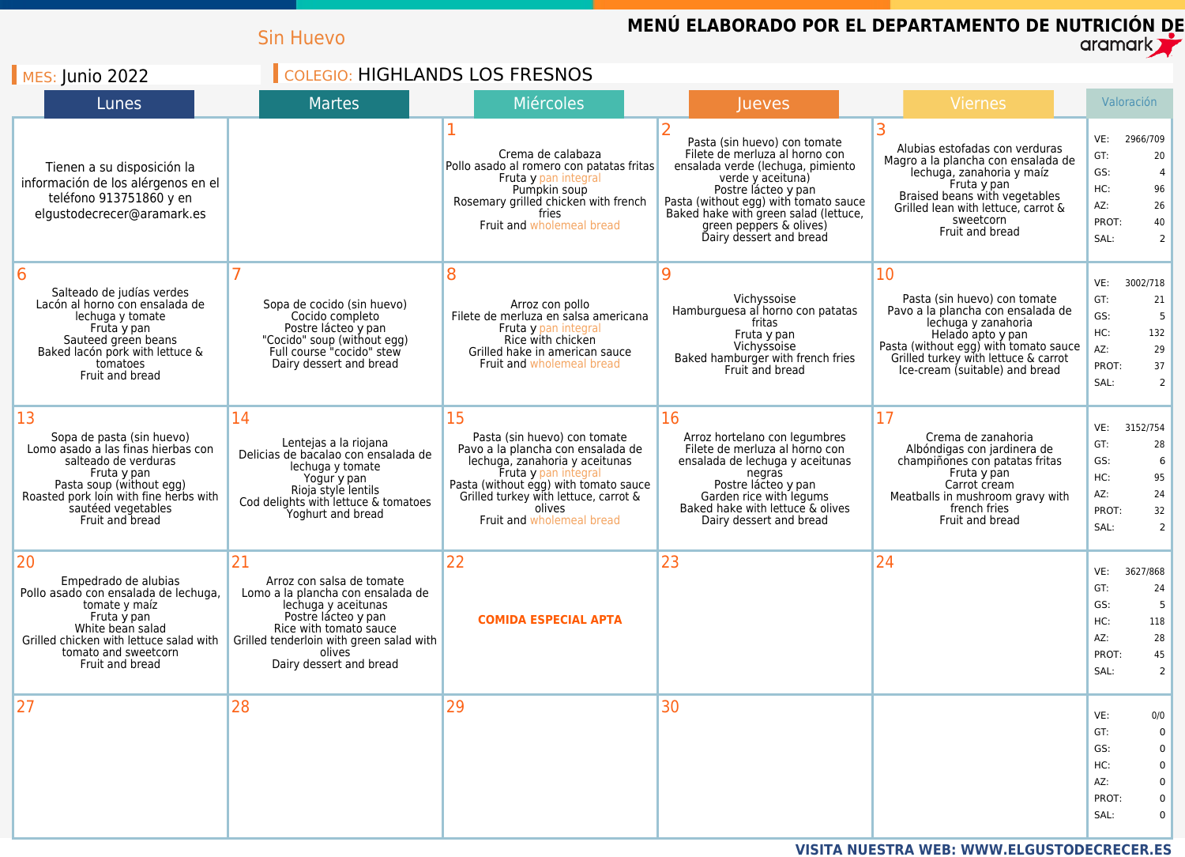|                                                                                                                                                                                                                             | <b>Sin Huevo</b>                                                                                                                                                                                                              |                                                                                                                                                                                                                                                            | MENÚ ELABORADO POR EL DEPARTAMENTO DE NUTRICIÓN DE                                                                                                                                                                                                                                      |                                                                                                                                                                                                                                        | aramark <b>T</b>                                                                                                  |
|-----------------------------------------------------------------------------------------------------------------------------------------------------------------------------------------------------------------------------|-------------------------------------------------------------------------------------------------------------------------------------------------------------------------------------------------------------------------------|------------------------------------------------------------------------------------------------------------------------------------------------------------------------------------------------------------------------------------------------------------|-----------------------------------------------------------------------------------------------------------------------------------------------------------------------------------------------------------------------------------------------------------------------------------------|----------------------------------------------------------------------------------------------------------------------------------------------------------------------------------------------------------------------------------------|-------------------------------------------------------------------------------------------------------------------|
| $MES:$ Junio 2022                                                                                                                                                                                                           | <b>COLEGIO: HIGHLANDS LOS FRESNOS</b>                                                                                                                                                                                         |                                                                                                                                                                                                                                                            |                                                                                                                                                                                                                                                                                         |                                                                                                                                                                                                                                        |                                                                                                                   |
| Lunes                                                                                                                                                                                                                       | <b>Martes</b>                                                                                                                                                                                                                 | <b>Miércoles</b>                                                                                                                                                                                                                                           | <b>Jueves</b>                                                                                                                                                                                                                                                                           | Viernes                                                                                                                                                                                                                                | Valoración                                                                                                        |
| Tienen a su disposición la<br>información de los alérgenos en el<br>teléfono 913751860 y en<br>elgustodecrecer@aramark.es                                                                                                   |                                                                                                                                                                                                                               | Crema de calabaza<br>Pollo asado al romero con patatas fritas<br>Fruta y pan integral<br>Pumpkin soup<br>Rosemary grilled chicken with french<br>fries<br>Fruit and wholemeal bread                                                                        | Pasta (sin huevo) con tomate<br>Filete de merluza al horno con<br>ensalada verde (lechuga, pimiento<br>verde y aceituna)<br>Postre lácteo y pan<br>Pasta (without egg) with tomato sauce<br>Baked hake with green salad (lettuce,<br>green peppers & olives)<br>Dairy dessert and bread | Alubias estofadas con verduras<br>Magro a la plancha con ensalada de<br>lechuga, zanahoria y maíz<br>Fruta y pan<br>Braised beans with vegetables<br>Grilled lean with lettuce, carrot &<br>sweetcorn<br>Fruit and bread               | 2966/709<br>VE:<br>GT:<br>20<br>GS:<br>HC:<br>96<br>AZ:<br>26<br>PROT:<br>40<br>SAL:<br>2                         |
| 16<br>Salteado de judías verdes<br>Lacón al horno con ensalada de<br>lechuga y tomate<br>Fruta y pan<br>Sauteed green beans<br>Baked lacón pork with lettuce &<br>tomatoes<br>Fruit and bread                               | Sopa de cocido (sin huevo)<br>Cocido completo<br>Postre lácteo y pan<br>"Cocido" soup (without egg)<br>Full course "cocido" stew<br>Dairy dessert and bread                                                                   | 8<br>Arroz con pollo<br>Filete de merluza en salsa americana<br>Fruta y pan integral<br>Rice with chicken<br>Grilled hake in american sauce<br><b>Fruit and wholemeal bread</b>                                                                            | 9<br>Vichyssoise<br>Hamburguesa al horno con patatas<br>fritas<br>Fruta y pan<br>Vichyssoise<br>Baked hamburger with french fries<br>Fruit and bread                                                                                                                                    | 10<br>Pasta (sin huevo) con tomate<br>Pavo a la plancha con ensalada de<br>lechuga y zanahoria<br>Helado apto y pan<br>Pasta (without egg) with tomato sauce<br>Grilled turkey with lettuce & carrot<br>Ice-cream (suitable) and bread | 3002/718<br>VE:<br>GT:<br>21<br>GS:<br>HC:<br>132<br>AZ:<br>29<br>PROT:<br>37<br>SAL:<br>$\mathcal{P}$            |
| 13<br>Sopa de pasta (sin huevo)<br>Lomo asado a las finas hierbas con<br>salteado de verduras<br>Fruta y pan<br>Pasta soup (without egg)<br>Roasted pork loin with fine herbs with<br>sautéed vegetables<br>Fruit and bread | 14<br>Lentejas a la riojana<br>Delicias de bacalao con ensalada de<br>lechuga y tomate<br>Yogur y pan<br>Rioja style lentils<br>Cod delights with lettuce & tomatoes<br>Yoghurt and bread                                     | 15<br>Pasta (sin huevo) con tomate<br>Pavo a la plancha con ensalada de<br>lechuga, zanahoria y aceitunas<br>Fruta y pan integral<br>Pasta (without egg) with tomato sauce<br>Grilled turkey with lettuce, carrot &<br>olives<br>Fruit and wholemeal bread | 16<br>Arroz hortelano con legumbres<br>Filete de merluza al horno con<br>ensalada de lechuga y aceitunas<br>negras<br>Postre lácteo y pan<br>Garden rice with legums<br>Baked hake with lettuce & olives<br>Dairy dessert and bread                                                     | 17<br>Crema de zanahoria<br>Albóndigas con jardinera de<br>champiñones con patatas fritas<br>Fruta y pan<br>Carrot cream<br>Meatballs in mushroom gravy with<br>french fries<br>Fruit and bread                                        | 3152/754<br>VE:<br>GT:<br>28<br>GS:<br>6<br>HC:<br>95<br>AZ:<br>24<br>PROT:<br>32<br>SAL:<br>2                    |
| 20<br>Empedrado de alubias<br>Pollo asado con ensalada de lechuga,<br>tomate y maíz<br>Fruta y pan<br>White bean salad<br>Grilled chicken with lettuce salad with<br>tomato and sweetcorn<br>Fruit and bread                | 21<br>Arroz con salsa de tomate<br>Lomo a la plancha con ensalada de<br>lechuga y aceitunas<br>Postre lácteo y pan<br>Rice with tomato sauce<br>Grilled tenderloin with green salad with<br>olives<br>Dairy dessert and bread | 22<br><b>COMIDA ESPECIAL APTA</b>                                                                                                                                                                                                                          | 23                                                                                                                                                                                                                                                                                      | 24                                                                                                                                                                                                                                     | VE:<br>3627/868<br>GT:<br>24<br>GS:<br>HC:<br>118<br>28<br>AZ:<br>PROT:<br>45<br>SAL:<br>2                        |
| 27                                                                                                                                                                                                                          | 28                                                                                                                                                                                                                            | 29                                                                                                                                                                                                                                                         | 30                                                                                                                                                                                                                                                                                      |                                                                                                                                                                                                                                        | VE:<br>0/0<br>GT:<br>$\Omega$<br>GS:<br>$\Omega$<br>HC:<br>$\Omega$<br>AZ:<br>$\Omega$<br>PROT:<br>0<br>SAL:<br>0 |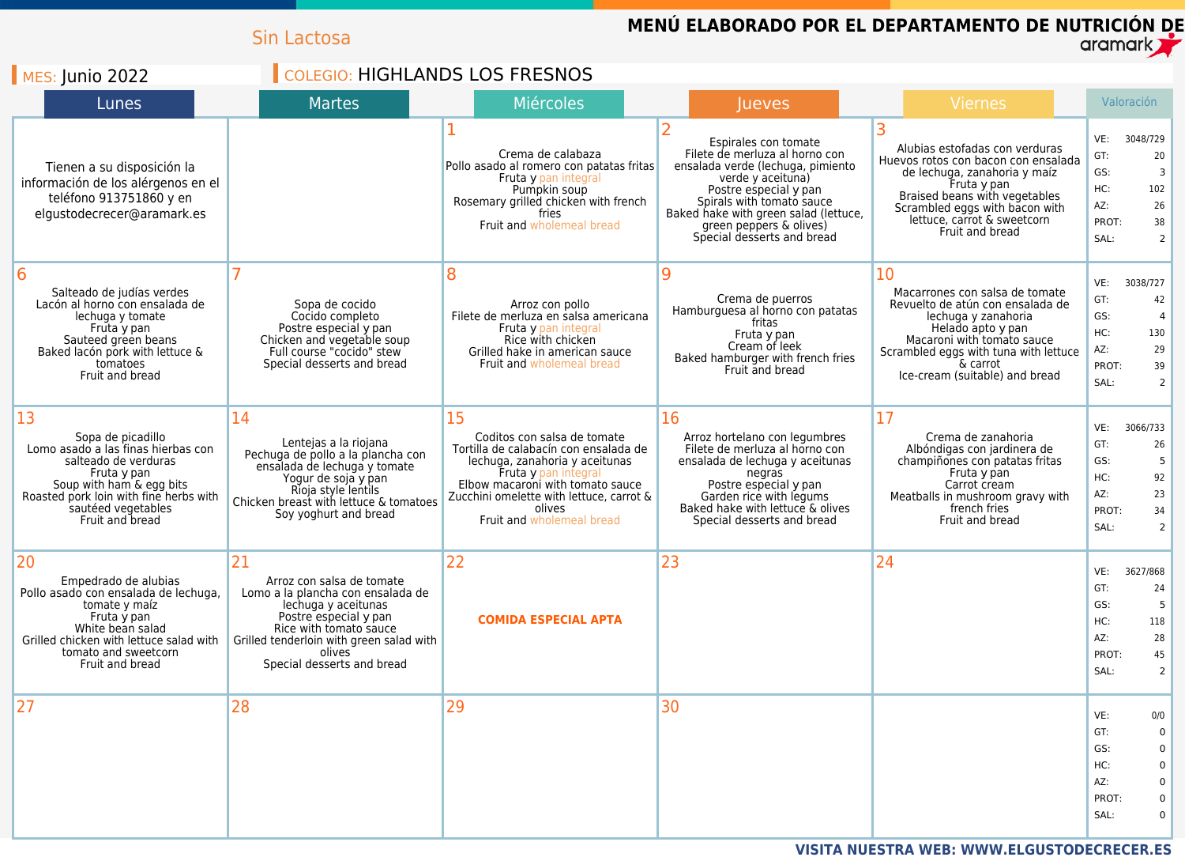|                                                                                                                                                                                                                     | Sin Lactosa                                                                                                                                                                                                                        |                                                                                                                                                                                                                                                             |                                                                                                                                                                                                                                                                          | MENÚ ELABORADO POR EL DEPARTAMENTO DE NUTRICIÓN DE                                                                                                                                                                                        | aramark <b>T</b>                                                                                                                   |
|---------------------------------------------------------------------------------------------------------------------------------------------------------------------------------------------------------------------|------------------------------------------------------------------------------------------------------------------------------------------------------------------------------------------------------------------------------------|-------------------------------------------------------------------------------------------------------------------------------------------------------------------------------------------------------------------------------------------------------------|--------------------------------------------------------------------------------------------------------------------------------------------------------------------------------------------------------------------------------------------------------------------------|-------------------------------------------------------------------------------------------------------------------------------------------------------------------------------------------------------------------------------------------|------------------------------------------------------------------------------------------------------------------------------------|
| $MES:$ Junio 2022                                                                                                                                                                                                   | <b>COLEGIO: HIGHLANDS LOS FRESNOS</b>                                                                                                                                                                                              |                                                                                                                                                                                                                                                             |                                                                                                                                                                                                                                                                          |                                                                                                                                                                                                                                           |                                                                                                                                    |
| Lunes                                                                                                                                                                                                               | <b>Martes</b>                                                                                                                                                                                                                      | <b>Miércoles</b>                                                                                                                                                                                                                                            | <b>Jueves</b>                                                                                                                                                                                                                                                            | Viernes                                                                                                                                                                                                                                   | Valoración                                                                                                                         |
| Tienen a su disposición la<br>información de los alérgenos en el<br>teléfono 913751860 y en<br>elgustodecrecer@aramark.es                                                                                           |                                                                                                                                                                                                                                    | Crema de calabaza<br>Pollo asado al romero con patatas fritas<br>Fruta y pan integral<br>Pumpkin soup<br>Rosemary grilled chicken with french<br>fries<br>Fruit and wholemeal bread                                                                         | Espirales con tomate<br>Filete de merluza al horno con<br>ensalada verde (lechuga, pimiento<br>verde y aceituna)<br>Postre especial y pan<br>Spirals with tomato sauce<br>Baked hake with green salad (lettuce,<br>green peppers & olives)<br>Special desserts and bread | Alubias estofadas con verduras<br>Huevos rotos con bacon con ensalada<br>de lechuga, zanahoria y maíz<br>Fruta y pan<br>Braised beans with vegetables<br>Scrambled eggs with bacon with<br>lettuce, carrot & sweetcorn<br>Fruit and bread | VE:<br>3048/729<br>GT:<br>20<br>GS:<br>3<br>HC:<br>102<br>AZ:<br>26<br>PROT:<br>38<br>SAL:<br>$\overline{2}$                       |
| 6<br>Salteado de judías verdes<br>Lacón al horno con ensalada de<br>lechuga y tomate<br>Fruta y pan<br>Sauteed green beans<br>Baked lacón pork with lettuce &<br>tomatoes<br>Fruit and bread                        | Sopa de cocido<br>Cocido completo<br>Postre especial y pan<br>Chicken and vegetable soup<br>Full course "cocido" stew<br>Special desserts and bread                                                                                | 8<br>Arroz con pollo<br>Filete de merluza en salsa americana<br>Fruta y pan integral<br>Rice with chicken<br>Grilled hake in american sauce<br>Fruit and wholemeal bread                                                                                    | $\mathbf Q$<br>Crema de puerros<br>Hamburguesa al horno con patatas<br>fritas<br>Fruta y pan<br>Cream of leek<br>Baked hamburger with french fries<br>Fruit and bread                                                                                                    | 10<br>Macarrones con salsa de tomate<br>Revuelto de atún con ensalada de<br>lechuga y zanahoria<br>Helado apto y pan<br>Macaroni with tomato sauce<br>Scrambled eggs with tuna with lettuce<br>& carrot<br>Ice-cream (suitable) and bread | 3038/727<br>VE:<br>GT:<br>42<br>GS:<br>4<br>HC:<br>130<br>AZ:<br>29<br>PROT:<br>39<br>SAL:<br>$\overline{2}$                       |
| 13<br>Sopa de picadillo<br>Lomo asado a las finas hierbas con<br>salteado de verduras<br>Fruta y pan<br>Soup with ham & egg bits<br>Roasted pork loin with fine herbs with<br>sautéed vegetables<br>Fruit and bread | 14<br>Lentejas a la riojana<br>Pechuga de pollo a la plancha con<br>ensalada de lechuga y tomate<br>Yogur de soja y pan<br>Rioja style lentils<br>Chicken breast with lettuce & tomatoes<br>Soy yoghurt and bread                  | 15<br>Coditos con salsa de tomate<br>Tortilla de calabacín con ensalada de<br>lechuga, zanahoria y aceitunas<br>Fruta y pan integral<br>Elbow macaroni with tomato sauce<br>Zucchini omelette with lettuce, carrot &<br>olives<br>Fruit and wholemeal bread | 16<br>Arroz hortelano con legumbres<br>Filete de merluza al horno con<br>ensalada de lechuga y aceitunas<br>negras<br>Postre especial y pan<br>Garden rice with legums<br>Baked hake with lettuce & olives<br>Special desserts and bread                                 | 17<br>Crema de zanahoria<br>Albóndigas con jardinera de<br>champiñones con patatas fritas<br>Fruta y pan<br>Carrot cream<br>Meatballs in mushroom gravy with<br>french fries<br>Fruit and bread                                           | 3066/733<br>VE:<br>GT:<br>26<br>GS:<br>HC:<br>92<br>23<br>AZ:<br>PROT:<br>34<br>SAL:<br>2                                          |
| 20<br>Empedrado de alubias<br>Pollo asado con ensalada de lechuga,<br>tomate y maíz<br>Fruta y pan<br>White bean salad<br>Grilled chicken with lettuce salad with<br>tomato and sweetcorn<br>Fruit and bread        | 21<br>Arroz con salsa de tomate<br>Lomo a la plancha con ensalada de<br>lechuga y aceitunas<br>Postre especial y pan<br>Rice with tomato sauce<br>Grilled tenderloin with green salad with<br>olives<br>Special desserts and bread | 22<br><b>COMIDA ESPECIAL APTA</b>                                                                                                                                                                                                                           | 23                                                                                                                                                                                                                                                                       | 24                                                                                                                                                                                                                                        | VE:<br>3627/868<br>GT:<br>24<br>GS:<br>5<br>HC:<br>118<br>AZ:<br>28<br>PROT:<br>45<br>SAL:<br>2                                    |
| 27                                                                                                                                                                                                                  | 28                                                                                                                                                                                                                                 | 29                                                                                                                                                                                                                                                          | 30                                                                                                                                                                                                                                                                       |                                                                                                                                                                                                                                           | VE:<br>0/0<br>GT:<br>$\Omega$<br>GS:<br>$\Omega$<br>HC:<br>$\Omega$<br>AZ:<br>$\Omega$<br>PROT:<br>$\mathbf 0$<br>SAL:<br>$\Omega$ |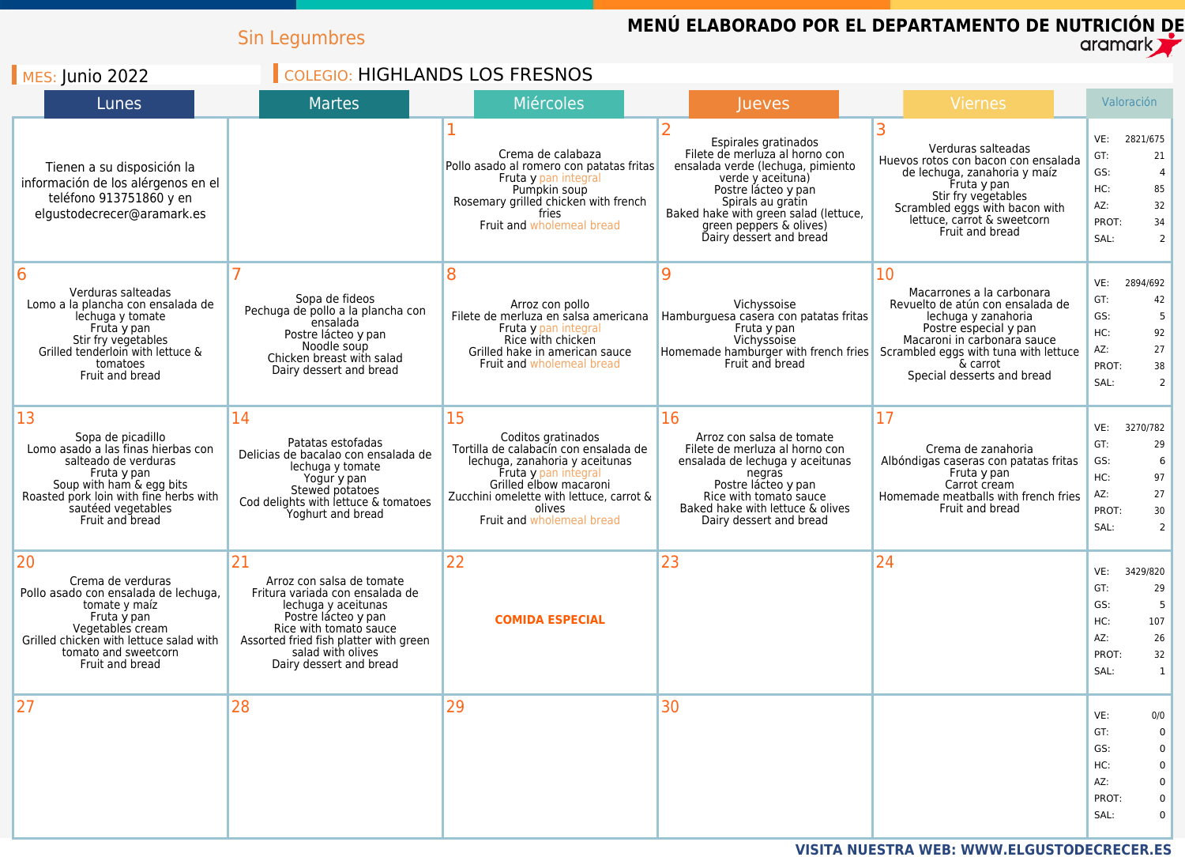|                                                                                                                                                                                                                     | <b>Sin Legumbres</b>                                                                                                                                                                                                                 |                                                                                                                                                                                                                                          | MENÚ ELABORADO POR EL DEPARTAMENTO DE NUTRICIÓN DE                                                                                                                                                                                                          |                                                                                                                                                                                                                                       | aramark <b>T</b>                                                                                                               |
|---------------------------------------------------------------------------------------------------------------------------------------------------------------------------------------------------------------------|--------------------------------------------------------------------------------------------------------------------------------------------------------------------------------------------------------------------------------------|------------------------------------------------------------------------------------------------------------------------------------------------------------------------------------------------------------------------------------------|-------------------------------------------------------------------------------------------------------------------------------------------------------------------------------------------------------------------------------------------------------------|---------------------------------------------------------------------------------------------------------------------------------------------------------------------------------------------------------------------------------------|--------------------------------------------------------------------------------------------------------------------------------|
| $\blacksquare$ MES: Junio 2022                                                                                                                                                                                      | <b>COLEGIO: HIGHLANDS LOS FRESNOS</b>                                                                                                                                                                                                |                                                                                                                                                                                                                                          |                                                                                                                                                                                                                                                             |                                                                                                                                                                                                                                       |                                                                                                                                |
| Lunes                                                                                                                                                                                                               | <b>Martes</b>                                                                                                                                                                                                                        | <b>Miércoles</b>                                                                                                                                                                                                                         | <b>Jueves</b>                                                                                                                                                                                                                                               | Viernes                                                                                                                                                                                                                               | Valoración                                                                                                                     |
| Tienen a su disposición la<br>información de los alérgenos en el<br>teléfono 913751860 y en<br>elgustodecrecer@aramark.es                                                                                           |                                                                                                                                                                                                                                      | Crema de calabaza<br>Pollo asado al romero con patatas fritas<br>Fruta y pan integral<br>Pumpkin soup<br>Rosemary grilled chicken with french<br>fries<br>Fruit and wholemeal bread                                                      | Espirales gratinados<br>Filete de merluza al horno con<br>ensalada verde (lechuga, pimiento<br>verde y aceituna)<br>Postre lácteo y pan<br>Spirals au gratin<br>Baked hake with green salad (lettuce,<br>green peppers & olives)<br>Dairy dessert and bread | Verduras salteadas<br>Huevos rotos con bacon con ensalada<br>de lechuga, zanahoria y maíz<br>Fruta y pan<br>Stir fry vegetables<br>Scrambled eggs with bacon with<br>lettuce, carrot & sweetcorn<br>Fruit and bread                   | VE:<br>2821/675<br>GT:<br>21<br>GS:<br>HC:<br>85<br>AZ:<br>32<br>PROT:<br>34<br>SAL:<br>$\mathcal{P}$                          |
| 6<br>Verduras salteadas<br>Lomo a la plancha con ensalada de<br>lechuga y tomate<br>Fruta y pan<br>Stir fry vegetables<br>Grilled tenderloin with lettuce &<br>tomatoes<br>Fruit and bread                          | Sopa de fideos<br>Pechuga de pollo a la plancha con<br>ensalada<br>Postre lácteo y pan<br>Noodle soup<br>Chicken breast with salad<br>Dairy dessert and bread                                                                        | 8<br>Arroz con pollo<br>Filete de merluza en salsa americana<br>Fruta y pan integral<br>Rice with chicken<br>Grilled hake in american sauce<br>Fruit and wholemeal bread                                                                 | $\mathbf Q$<br>Vichyssoise<br>Hamburguesa casera con patatas fritas<br>Fruta y pan<br>Vichyssoise<br>Homemade hamburger with french fries<br>Fruit and bread                                                                                                | 10<br>Macarrones a la carbonara<br>Revuelto de atún con ensalada de<br>lechuga y zanahoria<br>Postre especial y pan<br>Macaroni in carbonara sauce<br>Scrambled eggs with tuna with lettuce<br>& carrot<br>Special desserts and bread | VE:<br>2894/692<br>GT:<br>42<br>GS:<br>HC:<br>92<br>AZ:<br>27<br>PROT:<br>38<br>SAL:<br>2                                      |
| 13<br>Sopa de picadillo<br>Lomo asado a las finas hierbas con<br>salteado de verduras<br>Fruta y pan<br>Soup with ham & egg bits<br>Roasted pork loin with fine herbs with<br>sautéed vegetables<br>Fruit and bread | 14<br>Patatas estofadas<br>Delicias de bacalao con ensalada de<br>lechuga y tomate<br>Yogur y pan<br>Stewed potatoes<br>Cod delights with lettuce & tomatoes<br>Yoghurt and bread                                                    | 15<br>Coditos gratinados<br>Tortilla de calabacín con ensalada de<br>lechuga, zanahoria y aceitunas<br>Fruta y pan integral<br>Grilled elbow macaroni<br>Zucchini omelette with lettuce, carrot &<br>olives<br>Fruit and wholemeal bread | 16<br>Arroz con salsa de tomate<br>Filete de merluza al horno con<br>ensalada de lechuga y aceitunas<br>negras<br>Postre lácteo y pan<br>Rice with tomato sauce<br>Baked hake with lettuce & olives<br>Dairy dessert and bread                              | 17<br>Crema de zanahoria<br>Albóndigas caseras con patatas fritas<br>Fruta y pan<br>Carrot cream<br>Homemade meatballs with french fries<br>Fruit and bread                                                                           | VE:<br>3270/782<br>GT:<br>29<br>GS:<br>6<br>HC:<br>97<br>27<br>AZ:<br>PROT:<br>30<br>SAL:<br>2                                 |
| 20<br>Crema de verduras<br>Pollo asado con ensalada de lechuga,<br>tomate y maíz<br>Fruta y pan<br>Vegetables cream<br>Grilled chicken with lettuce salad with<br>tomato and sweetcorn<br>Fruit and bread           | 21<br>Arroz con salsa de tomate<br>Fritura variada con ensalada de<br>lechuga y aceitunas<br>Postre lácteo y pan<br>Rice with tomato sauce<br>Assorted fried fish platter with green<br>salad with olives<br>Dairy dessert and bread | 22<br><b>COMIDA ESPECIAL</b>                                                                                                                                                                                                             | 23                                                                                                                                                                                                                                                          | 24                                                                                                                                                                                                                                    | VE:<br>3429/820<br>GT:<br>29<br>GS:<br>5<br>HC:<br>107<br>AZ:<br>26<br>PROT:<br>32<br>SAL:<br>1                                |
| 27                                                                                                                                                                                                                  | 28                                                                                                                                                                                                                                   | 29                                                                                                                                                                                                                                       | 30                                                                                                                                                                                                                                                          |                                                                                                                                                                                                                                       | VE:<br>0/0<br>GT:<br>$\mathbf 0$<br>GS:<br>$\Omega$<br>HC:<br>$\Omega$<br>AZ:<br>$\Omega$<br>PROT:<br>$\mathbf 0$<br>SAL:<br>0 |